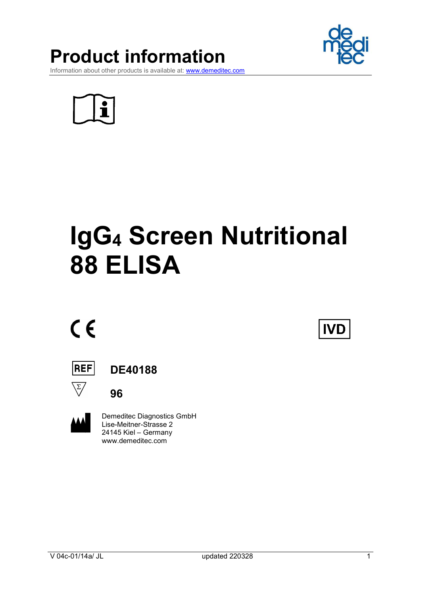

Product information

Information about other products is available at: www.demeditec.com

# IgG4 Screen Nutritional 88 ELISA

# $C \in$

|--|--|--|--|

DE40188

96



 Demeditec Diagnostics GmbH Lise-Meitner-Strasse 2 24145 Kiel – Germany www.demeditec.com



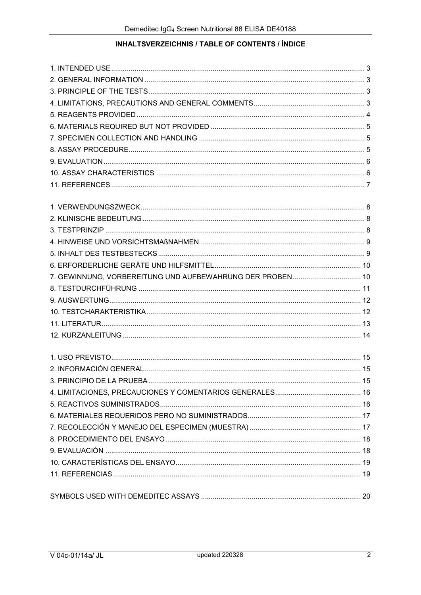# INHALTSVERZEICHNIS / TABLE OF CONTENTS / ÍNDICE

| 7. GEWINNUNG, VORBEREITUNG UND AUFBEWAHRUNG DER PROBEN 10 |  |
|-----------------------------------------------------------|--|
|                                                           |  |
|                                                           |  |
|                                                           |  |
|                                                           |  |
|                                                           |  |
|                                                           |  |
|                                                           |  |
|                                                           |  |
|                                                           |  |
|                                                           |  |
|                                                           |  |
|                                                           |  |
|                                                           |  |
|                                                           |  |
|                                                           |  |
|                                                           |  |
|                                                           |  |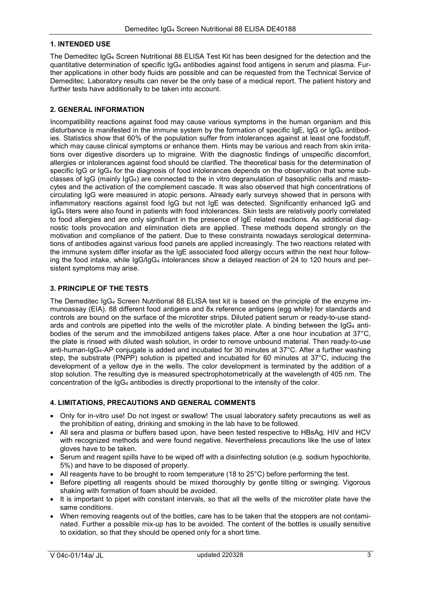#### 1. INTENDED USE

The Demeditec IgG4 Screen Nutritional 88 ELISA Test Kit has been designed for the detection and the quantitative determination of specific IgG4 antibodies against food antigens in serum and plasma. Further applications in other body fluids are possible and can be requested from the Technical Service of Demeditec. Laboratory results can never be the only base of a medical report. The patient history and further tests have additionally to be taken into account.

#### 2. GENERAL INFORMATION

Incompatibility reactions against food may cause various symptoms in the human organism and this disturbance is manifested in the immune system by the formation of specific IgE, IgG or IgG4 antibodies. Statistics show that 60% of the population suffer from intolerances against at least one foodstuff, which may cause clinical symptoms or enhance them. Hints may be various and reach from skin irritations over digestive disorders up to migraine. With the diagnostic findings of unspecific discomfort, allergies or intolerances against food should be clarified. The theoretical basis for the determination of specific IgG or IgG<sub>4</sub> for the diagnosis of food intolerances depends on the observation that some subclasses of  $I_{\text{qG}}$  (mainly  $I_{\text{qG}_4}$ ) are connected to the in vitro degranulation of basophilic cells and mastocytes and the activation of the complement cascade. It was also observed that high concentrations of circulating IgG were measured in atopic persons. Already early surveys showed that in persons with inflammatory reactions against food IgG but not IgE was detected. Significantly enhanced IgG and IgG4 titers were also found in patients with food intolerances. Skin tests are relatively poorly correlated to food allergies and are only significant in the presence of IgE related reactions. As additional diagnostic tools provocation and elimination diets are applied. These methods depend strongly on the motivation and compliance of the patient. Due to these constraints nowadays serological determinations of antibodies against various food panels are applied increasingly. The two reactions related with the immune system differ insofar as the IgE associated food allergy occurs within the next hour following the food intake, while IgG/IgG4 intolerances show a delayed reaction of 24 to 120 hours and persistent symptoms may arise.

#### 3. PRINCIPLE OF THE TESTS

The Demeditec IgG4 Screen Nutritional 88 ELISA test kit is based on the principle of the enzyme immunoassay (EIA). 88 different food antigens and 8x reference antigens (egg white) for standards and controls are bound on the surface of the microtiter strips. Diluted patient serum or ready-to-use standards and controls are pipetted into the wells of the microtiter plate. A binding between the IgG4 antibodies of the serum and the immobilized antigens takes place. After a one hour incubation at 37°C, the plate is rinsed with diluted wash solution, in order to remove unbound material. Then ready-to-use anti-human-IgG4-AP conjugate is added and incubated for 30 minutes at 37°C. After a further washing step, the substrate (PNPP) solution is pipetted and incubated for 60 minutes at 37°C, inducing the development of a yellow dye in the wells. The color development is terminated by the addition of a stop solution. The resulting dye is measured spectrophotometrically at the wavelength of 405 nm. The concentration of the IgG4 antibodies is directly proportional to the intensity of the color.

#### 4. LIMITATIONS, PRECAUTIONS AND GENERAL COMMENTS

- Only for in-vitro use! Do not ingest or swallow! The usual laboratory safety precautions as well as the prohibition of eating, drinking and smoking in the lab have to be followed.
- All sera and plasma or buffers based upon, have been tested respective to HBsAg, HIV and HCV with recognized methods and were found negative. Nevertheless precautions like the use of latex gloves have to be taken.
- Serum and reagent spills have to be wiped off with a disinfecting solution (e.g. sodium hypochlorite, 5%) and have to be disposed of properly.
- All reagents have to be brought to room temperature (18 to 25°C) before performing the test.
- Before pipetting all reagents should be mixed thoroughly by gentle tilting or swinging. Vigorous shaking with formation of foam should be avoided.
- It is important to pipet with constant intervals, so that all the wells of the microtiter plate have the same conditions.
- When removing reagents out of the bottles, care has to be taken that the stoppers are not contaminated. Further a possible mix-up has to be avoided. The content of the bottles is usually sensitive to oxidation, so that they should be opened only for a short time.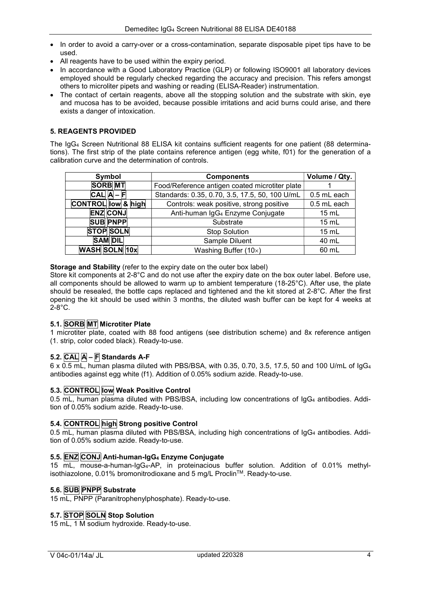- In order to avoid a carry-over or a cross-contamination, separate disposable pipet tips have to be used.
- All reagents have to be used within the expiry period.
- In accordance with a Good Laboratory Practice (GLP) or following ISO9001 all laboratory devices employed should be regularly checked regarding the accuracy and precision. This refers amongst others to microliter pipets and washing or reading (ELISA-Reader) instrumentation.
- The contact of certain reagents, above all the stopping solution and the substrate with skin, eye and mucosa has to be avoided, because possible irritations and acid burns could arise, and there exists a danger of intoxication.

#### 5. REAGENTS PROVIDED

The IgG4 Screen Nutritional 88 ELISA kit contains sufficient reagents for one patient (88 determinations). The first strip of the plate contains reference antigen (egg white, f01) for the generation of a calibration curve and the determination of controls.

| Symbol                        | <b>Components</b>                              | Volume / Qty. |
|-------------------------------|------------------------------------------------|---------------|
| <b>SORB MT</b>                | Food/Reference antigen coated microtiter plate |               |
| $ CAL A - F $                 | Standards: 0.35, 0.70, 3.5, 17.5, 50, 100 U/mL | 0.5 mL each   |
| <b>CONTROL low &amp; high</b> | Controls: weak positive, strong positive       | 0.5 mL each   |
| <b>ENZ CONJ</b>               | Anti-human IgG <sub>4</sub> Enzyme Conjugate   | 15 mL         |
| <b>SUB PNPP</b>               | Substrate                                      | 15 mL         |
| <b>STOP SOLN</b>              | <b>Stop Solution</b>                           | 15 mL         |
| <b>SAM DIL</b>                | Sample Diluent                                 | 40 mL         |
| WASH SOLN 10x                 | Washing Buffer $(10x)$                         | 60 mL         |

#### Storage and Stability (refer to the expiry date on the outer box label)

Store kit components at 2-8°C and do not use after the expiry date on the box outer label. Before use, all components should be allowed to warm up to ambient temperature (18-25°C). After use, the plate should be resealed, the bottle caps replaced and tightened and the kit stored at 2-8°C. After the first opening the kit should be used within 3 months, the diluted wash buffer can be kept for 4 weeks at  $2-8$ °C.

#### 5.1. SORB MT Microtiter Plate

1 microtiter plate, coated with 88 food antigens (see distribution scheme) and 8x reference antigen (1. strip, color coded black). Ready-to-use.

#### 5.2. CAL A – F Standards A-F

6 x 0.5 mL, human plasma diluted with PBS/BSA, with 0.35, 0.70, 3.5, 17.5, 50 and 100 U/mL of IgG<sup>4</sup> antibodies against egg white (f1). Addition of 0.05% sodium azide. Ready-to-use.

#### 5.3. CONTROL Iow Weak Positive Control

0.5 mL, human plasma diluted with PBS/BSA, including low concentrations of IgG<sub>4</sub> antibodies. Addition of 0.05% sodium azide. Ready-to-use.

#### 5.4. CONTROL high Strong positive Control

0.5 mL, human plasma diluted with PBS/BSA, including high concentrations of IgG<sub>4</sub> antibodies. Addition of 0.05% sodium azide. Ready-to-use.

#### 5.5.  $ENZ$  CONJ Anti-human-IgG<sub>4</sub> Enzyme Conjugate

15 mL, mouse-a-human-IgG4-AP, in proteinacious buffer solution. Addition of 0.01% methylisothiazolone, 0.01% bromonitrodioxane and 5 mg/L ProclinTM. Ready-to-use.

#### 5.6. SUB PNPP Substrate

15 mL, PNPP (Paranitrophenylphosphate). Ready-to-use.

# 5.7. STOP SOLN Stop Solution

15 mL, 1 M sodium hydroxide. Ready-to-use.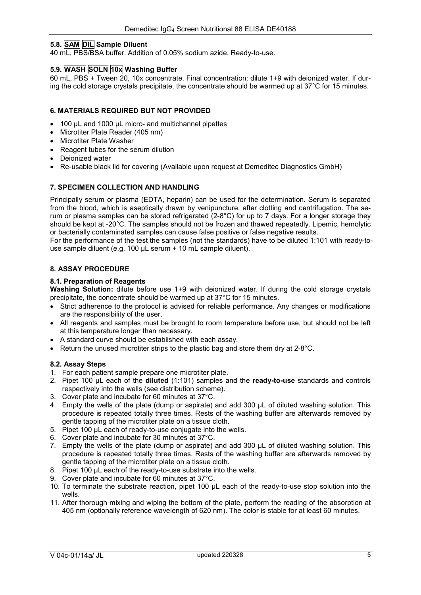#### 5.8. SAM DIL Sample Diluent

40 mL, PBS/BSA buffer. Addition of 0.05% sodium azide. Ready-to-use.

#### 5.9. WASH SOLN 10x Washing Buffer

60 mL, PBS + Tween 20, 10x concentrate. Final concentration: dilute 1+9 with deionized water. If during the cold storage crystals precipitate, the concentrate should be warmed up at 37°C for 15 minutes.

#### 6. MATERIALS REQUIRED BUT NOT PROVIDED

- 100 uL and 1000 uL micro- and multichannel pipettes
- Microtiter Plate Reader (405 nm)
- Microtiter Plate Washer
- Reagent tubes for the serum dilution
- Deionized water
- Re-usable black lid for covering (Available upon request at Demeditec Diagnostics GmbH)

# 7. SPECIMEN COLLECTION AND HANDLING

Principally serum or plasma (EDTA, heparin) can be used for the determination. Serum is separated from the blood, which is aseptically drawn by venipuncture, after clotting and centrifugation. The serum or plasma samples can be stored refrigerated (2-8°C) for up to 7 days. For a longer storage they should be kept at -20°C. The samples should not be frozen and thawed repeatedly. Lipemic, hemolytic or bacterially contaminated samples can cause false positive or false negative results.

For the performance of the test the samples (not the standards) have to be diluted 1:101 with ready-touse sample diluent (e.g. 100 µL serum + 10 mL sample diluent).

# 8. ASSAY PROCEDURE

#### 8.1. Preparation of Reagents

Washing Solution: dilute before use 1+9 with deionized water. If during the cold storage crystals precipitate, the concentrate should be warmed up at 37°C for 15 minutes.

- Strict adherence to the protocol is advised for reliable performance. Any changes or modifications are the responsibility of the user.
- All reagents and samples must be brought to room temperature before use, but should not be left at this temperature longer than necessary.
- A standard curve should be established with each assay.
- Exeturn the unused microtiter strips to the plastic bag and store them dry at  $2-8^{\circ}$ C.

# 8.2. Assay Steps

- 1. For each patient sample prepare one microtiter plate.
- 2. Pipet 100  $\mu$ L each of the **diluted** (1:101) samples and the **ready-to-use** standards and controls respectively into the wells (see distribution scheme).
- 3. Cover plate and incubate for 60 minutes at 37°C.
- 4. Empty the wells of the plate (dump or aspirate) and add 300 µL of diluted washing solution. This procedure is repeated totally three times. Rests of the washing buffer are afterwards removed by gentle tapping of the microtiter plate on a tissue cloth.
- 5. Pipet 100 µL each of ready-to-use conjugate into the wells.
- 6. Cover plate and incubate for 30 minutes at 37°C.
- 7. Empty the wells of the plate (dump or aspirate) and add 300 µL of diluted washing solution. This procedure is repeated totally three times. Rests of the washing buffer are afterwards removed by gentle tapping of the microtiter plate on a tissue cloth.
- 8. Pipet 100 uL each of the ready-to-use substrate into the wells.
- 9. Cover plate and incubate for 60 minutes at 37°C.
- 10. To terminate the substrate reaction, pipet 100 µL each of the ready-to-use stop solution into the wells.
- 11. After thorough mixing and wiping the bottom of the plate, perform the reading of the absorption at 405 nm (optionally reference wavelength of 620 nm). The color is stable for at least 60 minutes.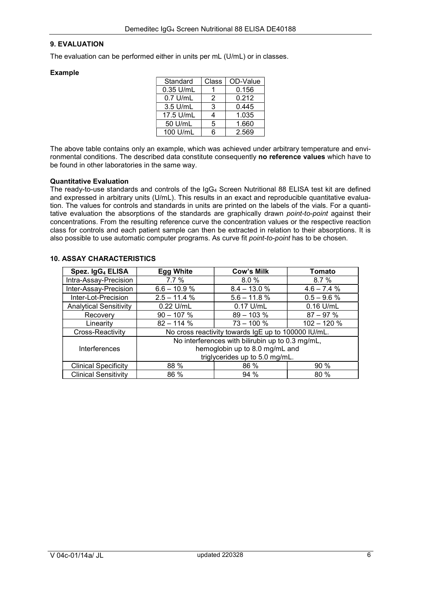#### 9. EVALUATION

The evaluation can be performed either in units per mL (U/mL) or in classes.

#### Example

| Standard  | Class | OD-Value |
|-----------|-------|----------|
| 0.35 U/mL |       | 0.156    |
| 0.7 U/mL  | 2     | 0.212    |
| 3.5 U/mL  | 3     | 0.445    |
| 17.5 U/mL | 4     | 1.035    |
| 50 U/mL   | 5     | 1.660    |
| 100 U/mL  | ี่ค   | 2.569    |

The above table contains only an example, which was achieved under arbitrary temperature and environmental conditions. The described data constitute consequently no reference values which have to be found in other laboratories in the same way.

#### Quantitative Evaluation

The ready-to-use standards and controls of the IgG4 Screen Nutritional 88 ELISA test kit are defined and expressed in arbitrary units (U/mL). This results in an exact and reproducible quantitative evaluation. The values for controls and standards in units are printed on the labels of the vials. For a quantitative evaluation the absorptions of the standards are graphically drawn *point-to-point* against their concentrations. From the resulting reference curve the concentration values or the respective reaction class for controls and each patient sample can then be extracted in relation to their absorptions. It is also possible to use automatic computer programs. As curve fit *point-to-point* has to be chosen.

#### 10. ASSAY CHARACTERISTICS

| Spez. IgG <sub>4</sub> ELISA  | <b>Egg White</b>                                    | <b>Cow's Milk</b> | Tomato        |
|-------------------------------|-----------------------------------------------------|-------------------|---------------|
| Intra-Assay-Precision         | 7.7%                                                | 8.0%              | 8.7%          |
| Inter-Assay-Precision         | $6.6 - 10.9 %$                                      | $8.4 - 13.0 %$    | $4.6 - 7.4%$  |
| Inter-Lot-Precision           | $2.5 - 11.4 %$                                      | $5.6 - 11.8 %$    | $0.5 - 9.6 %$ |
| <b>Analytical Sensitivity</b> | 0.22 U/mL                                           | $0.17$ U/mL       | $0.16$ U/mL   |
| Recovery                      | $90 - 107 %$                                        | $89 - 103 %$      | $87 - 97 %$   |
| Linearity                     | $82 - 114%$                                         | $73 - 100 %$      | $102 - 120%$  |
| Cross-Reactivity              | No cross reactivity towards IgE up to 100000 IU/mL. |                   |               |
|                               | No interferences with bilirubin up to 0.3 mg/mL,    |                   |               |
| Interferences                 | hemoglobin up to 8.0 mg/mL and                      |                   |               |
|                               | triglycerides up to 5.0 mg/mL.                      |                   |               |
| <b>Clinical Specificity</b>   | 88 %                                                | 86 %              | 90 %          |
| <b>Clinical Sensitivity</b>   | 86 %                                                | 94 %              | 80 %          |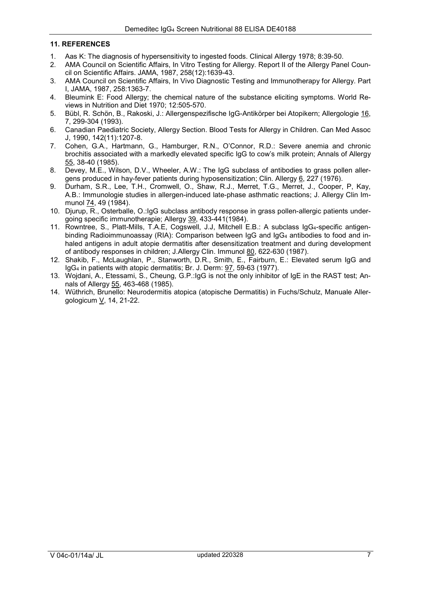#### 11. REFERENCES

- 1. Aas K: The diagnosis of hypersensitivity to ingested foods. Clinical Allergy 1978; 8:39-50.
- 2. AMA Council on Scientific Affairs, In Vitro Testing for Allergy. Report II of the Allergy Panel Council on Scientific Affairs. JAMA, 1987, 258(12):1639-43.
- 3. AMA Council on Scientific Affairs, In Vivo Diagnostic Testing and Immunotherapy for Allergy. Part I, JAMA, 1987, 258:1363-7.
- 4. Bleumink E: Food Allergy; the chemical nature of the substance eliciting symptoms. World Reviews in Nutrition and Diet 1970; 12:505-570.
- 5. Bübl, R. Schön, B., Rakoski, J.: Allergenspezifische IgG-Antikörper bei Atopikern; Allergologie 16, 7, 299-304 (1993).
- 6. Canadian Paediatric Society, Allergy Section. Blood Tests for Allergy in Children. Can Med Assoc J, 1990, 142(11):1207-8.
- 7. Cohen, G.A., Hartmann, G., Hamburger, R.N., O'Connor, R.D.: Severe anemia and chronic brochitis associated with a markedly elevated specific IgG to cow's milk protein; Annals of Allergy 55, 38-40 (1985).
- 8. Devey, M.E., Wilson, D.V., Wheeler, A.W.: The IgG subclass of antibodies to grass pollen allergens produced in hay-fever patients during hyposensitization; Clin. Allergy 6, 227 (1976).
- 9. Durham, S.R., Lee, T.H., Cromwell, O., Shaw, R.J., Merret, T.G., Merret, J., Cooper, P, Kay, A.B.: Immunologie studies in allergen-induced late-phase asthmatic reactions; J. Allergy Clin Immunol 74, 49 (1984).
- 10. Djurup, R., Osterballe, O.:IgG subclass antibody response in grass pollen-allergic patients undergoing specific immunotherapie; Allergy 39, 433-441(1984).
- 11. Rowntree, S., Platt-Mills, T.A.E, Cogswell, J.J, Mitchell E.B.: A subclass IgG4-specific antigenbinding Radioimmunoassay (RIA): Comparison between IgG and IgG<sub>4</sub> antibodies to food and inhaled antigens in adult atopie dermatitis after desensitization treatment and during development of antibody responses in children; J.Allergy Clin. Immunol 80, 622-630 (1987).
- 12. Shakib, F., McLaughlan, P., Stanworth, D.R., Smith, E., Fairburn, E.: Elevated serum IgG and IgG4 in patients with atopic dermatitis; Br. J. Derm: 97, 59-63 (1977).
- 13. Wojdani, A., Etessami, S., Cheung, G.P.:IgG is not the only inhibitor of IgE in the RAST test; Annals of Allergy 55, 463-468 (1985).
- 14. Wüthrich, Brunello: Neurodermitis atopica (atopische Dermatitis) in Fuchs/Schulz, Manuale Allergologicum V, 14, 21-22.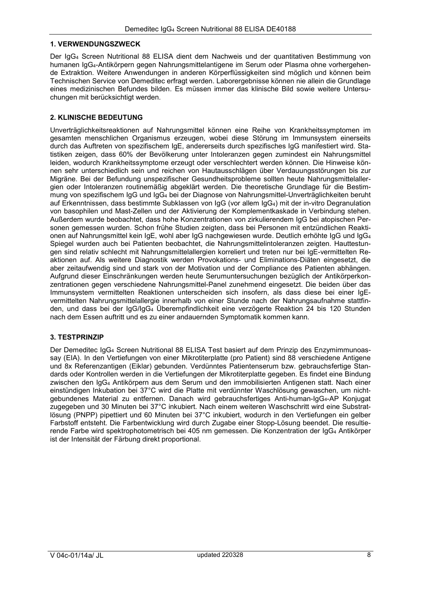#### 1. VERWENDUNGSZWECK

Der IgG4 Screen Nutritional 88 ELISA dient dem Nachweis und der quantitativen Bestimmung von humanen IgG4-Antikörpern gegen Nahrungsmittelantigene im Serum oder Plasma ohne vorhergehende Extraktion. Weitere Anwendungen in anderen Körperflüssigkeiten sind möglich und können beim Technischen Service von Demeditec erfragt werden. Laborergebnisse können nie allein die Grundlage eines medizinischen Befundes bilden. Es müssen immer das klinische Bild sowie weitere Untersuchungen mit berücksichtigt werden.

#### 2. KLINISCHE BEDEUTUNG

Unverträglichkeitsreaktionen auf Nahrungsmittel können eine Reihe von Krankheitssymptomen im gesamten menschlichen Organismus erzeugen, wobei diese Störung im Immunsystem einerseits durch das Auftreten von spezifischem IgE, andererseits durch spezifisches IgG manifestiert wird. Statistiken zeigen, dass 60% der Bevölkerung unter Intoleranzen gegen zumindest ein Nahrungsmittel leiden, wodurch Krankheitssymptome erzeugt oder verschlechtert werden können. Die Hinweise können sehr unterschiedlich sein und reichen von Hautausschlägen über Verdauungsstörungen bis zur Migräne. Bei der Befundung unspezifischer Gesundheitsprobleme sollten heute Nahrungsmittelallergien oder Intoleranzen routinemäßig abgeklärt werden. Die theoretische Grundlage für die Bestimmung von spezifischem IgG und IgG4 bei der Diagnose von Nahrungsmittel-Unverträglichkeiten beruht auf Erkenntnissen, dass bestimmte Subklassen von IgG (vor allem IgG4) mit der in-vitro Degranulation von basophilen und Mast-Zellen und der Aktivierung der Komplementkaskade in Verbindung stehen. Außerdem wurde beobachtet, dass hohe Konzentrationen von zirkulierendem IgG bei atopischen Personen gemessen wurden. Schon frühe Studien zeigten, dass bei Personen mit entzündlichen Reaktionen auf Nahrungsmittel kein IgE, wohl aber IgG nachgewiesen wurde. Deutlich erhöhte IgG und IgG<sup>4</sup> Spiegel wurden auch bei Patienten beobachtet, die Nahrungsmittelintoleranzen zeigten. Hauttestungen sind relativ schlecht mit Nahrungsmittelallergien korreliert und treten nur bei IgE-vermittelten Reaktionen auf. Als weitere Diagnostik werden Provokations- und Eliminations-Diäten eingesetzt, die aber zeitaufwendig sind und stark von der Motivation und der Compliance des Patienten abhängen. Aufgrund dieser Einschränkungen werden heute Serumuntersuchungen bezüglich der Antikörperkonzentrationen gegen verschiedene Nahrungsmittel-Panel zunehmend eingesetzt. Die beiden über das Immunsystem vermittelten Reaktionen unterscheiden sich insofern, als dass diese bei einer IgEvermittelten Nahrungsmittelallergie innerhalb von einer Stunde nach der Nahrungsaufnahme stattfinden, und dass bei der IgG/IgG4 Überempfindlichkeit eine verzögerte Reaktion 24 bis 120 Stunden nach dem Essen auftritt und es zu einer andauernden Symptomatik kommen kann.

#### 3. TESTPRINZIP

Der Demeditec IgG4 Screen Nutritional 88 ELISA Test basiert auf dem Prinzip des Enzymimmunoassay (EIA). In den Vertiefungen von einer Mikrotiterplatte (pro Patient) sind 88 verschiedene Antigene und 8x Referenzantigen (Eiklar) gebunden. Verdünntes Patientenserum bzw. gebrauchsfertige Standards oder Kontrollen werden in die Vertiefungen der Mikrotiterplatte gegeben. Es findet eine Bindung zwischen den IgG4 Antikörpern aus dem Serum und den immobilisierten Antigenen statt. Nach einer einstündigen Inkubation bei 37°C wird die Platte mit verdünnter Waschlösung gewaschen, um nichtgebundenes Material zu entfernen. Danach wird gebrauchsfertiges Anti-human-IgG4-AP Konjugat zugegeben und 30 Minuten bei 37°C inkubiert. Nach einem weiteren Waschschritt wird eine Substratlösung (PNPP) pipettiert und 60 Minuten bei 37°C inkubiert, wodurch in den Vertiefungen ein gelber Farbstoff entsteht. Die Farbentwicklung wird durch Zugabe einer Stopp-Lösung beendet. Die resultierende Farbe wird spektrophotometrisch bei 405 nm gemessen. Die Konzentration der IgG4 Antikörper ist der Intensität der Färbung direkt proportional.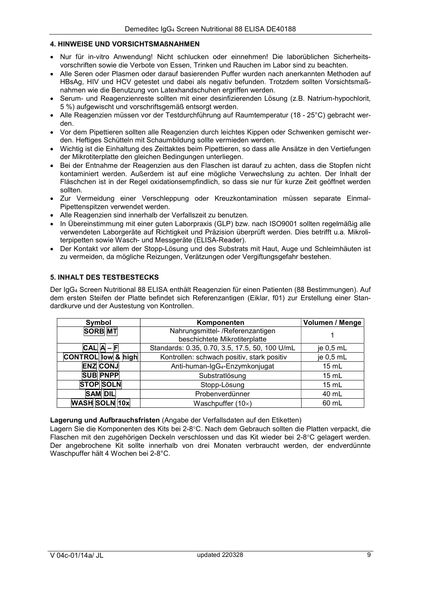#### 4. HINWEISE UND VORSICHTSMAßNAHMEN

- Nur für in-vitro Anwendung! Nicht schlucken oder einnehmen! Die laborüblichen Sicherheitsvorschriften sowie die Verbote von Essen, Trinken und Rauchen im Labor sind zu beachten.
- Alle Seren oder Plasmen oder darauf basierenden Puffer wurden nach anerkannten Methoden auf HBsAg, HIV und HCV getestet und dabei als negativ befunden. Trotzdem sollten Vorsichtsmaßnahmen wie die Benutzung von Latexhandschuhen ergriffen werden.
- Serum- und Reagenzienreste sollten mit einer desinfizierenden Lösung (z.B. Natrium-hypochlorit, 5 %) aufgewischt und vorschriftsgemäß entsorgt werden.
- Alle Reagenzien müssen vor der Testdurchführung auf Raumtemperatur (18 25°C) gebracht werden.
- Vor dem Pipettieren sollten alle Reagenzien durch leichtes Kippen oder Schwenken gemischt werden. Heftiges Schütteln mit Schaumbildung sollte vermieden werden.
- Wichtig ist die Einhaltung des Zeittaktes beim Pipettieren, so dass alle Ansätze in den Vertiefungen der Mikrotiterplatte den gleichen Bedingungen unterliegen.
- Bei der Entnahme der Reagenzien aus den Flaschen ist darauf zu achten, dass die Stopfen nicht kontaminiert werden. Außerdem ist auf eine mögliche Verwechslung zu achten. Der Inhalt der Fläschchen ist in der Regel oxidationsempfindlich, so dass sie nur für kurze Zeit geöffnet werden sollten.
- Zur Vermeidung einer Verschleppung oder Kreuzkontamination müssen separate Einmal-Pipettenspitzen verwendet werden.
- Alle Reagenzien sind innerhalb der Verfallszeit zu benutzen.
- In Übereinstimmung mit einer guten Laborpraxis (GLP) bzw. nach ISO9001 sollten regelmäßig alle verwendeten Laborgeräte auf Richtigkeit und Präzision überprüft werden. Dies betrifft u.a. Mikroliterpipetten sowie Wasch- und Messgeräte (ELISA-Reader).
- Der Kontakt vor allem der Stopp-Lösung und des Substrats mit Haut, Auge und Schleimhäuten ist zu vermeiden, da mögliche Reizungen, Verätzungen oder Vergiftungsgefahr bestehen.

# 5. INHALT DES TESTBESTECKS

Der IgG4 Screen Nutritional 88 ELISA enthält Reagenzien für einen Patienten (88 Bestimmungen). Auf dem ersten Steifen der Platte befindet sich Referenzantigen (Eiklar, f01) zur Erstellung einer Standardkurve und der Austestung von Kontrollen.

| Symbol                    | Komponenten                                                       | <b>Volumen / Menge</b> |
|---------------------------|-------------------------------------------------------------------|------------------------|
| <b>SORB</b> MT            | Nahrungsmittel- /Referenzantigen<br>beschichtete Mikrotiterplatte |                        |
| $ CAL$ $ A - F $          | Standards: 0.35, 0.70, 3.5, 17.5, 50, 100 U/mL                    | je $0,5$ mL            |
| <b>CONTROL</b> low & high | Kontrollen: schwach positiv, stark positiv                        | je $0,5$ mL            |
| <b>ENZ CONJ</b>           | Anti-human-IgG <sub>4</sub> -Enzymkonjugat                        | 15 mL                  |
| <b>SUB PNPP</b>           | Substratlösung                                                    | 15 mL                  |
| <b>STOP SOLN</b>          | Stopp-Lösung                                                      | $15 \text{ mL}$        |
| <b>SAM DIL</b>            | Probenverdünner                                                   | 40 mL                  |
| <b>WASH SOLN 10x</b>      | Waschpuffer $(10x)$                                               | 60 mL                  |

#### Lagerung und Aufbrauchsfristen (Angabe der Verfallsdaten auf den Etiketten)

Lagern Sie die Komponenten des Kits bei 2-8°C. Nach dem Gebrauch sollten die Platten verpackt, die Flaschen mit den zugehörigen Deckeln verschlossen und das Kit wieder bei 2-8°C gelagert werden. Der angebrochene Kit sollte innerhalb von drei Monaten verbraucht werden, der endverdünnte Waschpuffer hält 4 Wochen bei 2-8°C.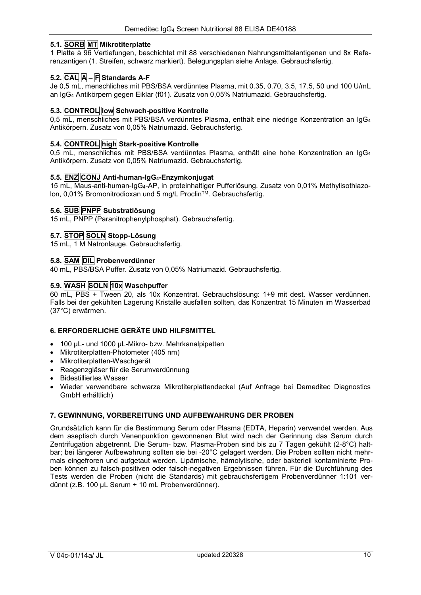# 5.1. SORB MT Mikrotiterplatte

1 Platte à 96 Vertiefungen, beschichtet mit 88 verschiedenen Nahrungsmittelantigenen und 8x Referenzantigen (1. Streifen, schwarz markiert). Belegungsplan siehe Anlage. Gebrauchsfertig.

# 5.2. CAL A – F Standards A-F

Je 0,5 mL, menschliches mit PBS/BSA verdünntes Plasma, mit 0.35, 0.70, 3.5, 17.5, 50 und 100 U/mL an IgG4 Antikörpern gegen Eiklar (f01). Zusatz von 0,05% Natriumazid. Gebrauchsfertig.

#### 5.3. CONTROL low Schwach-positive Kontrolle

0,5 mL, menschliches mit PBS/BSA verdünntes Plasma, enthält eine niedrige Konzentration an IgG<sup>4</sup> Antikörpern. Zusatz von 0,05% Natriumazid. Gebrauchsfertig.

### 5.4. CONTROL high Stark-positive Kontrolle

0.5 mL, menschliches mit PBS/BSA verdünntes Plasma, enthält eine hohe Konzentration an  $I_0G_4$ Antikörpern. Zusatz von 0,05% Natriumazid. Gebrauchsfertig.

#### 5.5. ENZ CONJ Anti-human-IgG<sub>4</sub>-Enzymkonjugat

15 mL, Maus-anti-human-IgG4-AP, in proteinhaltiger Pufferlösung. Zusatz von 0,01% Methylisothiazolon, 0,01% Bromonitrodioxan und 5 mg/L Proclin™. Gebrauchsfertig.

#### 5.6. SUB PNPP Substratlösung

15 mL, PNPP (Paranitrophenylphosphat). Gebrauchsfertig.

#### 5.7. STOP SOLN Stopp-Lösung

15 mL, 1 M Natronlauge. Gebrauchsfertig.

#### 5.8. SAM DIL Probenverdünner

40 mL, PBS/BSA Puffer. Zusatz von 0,05% Natriumazid. Gebrauchsfertig.

#### 5.9. WASH SOLN 10x Waschpuffer

60 mL, PBS + Tween 20, als 10x Konzentrat. Gebrauchslösung: 1+9 mit dest. Wasser verdünnen. Falls bei der gekühlten Lagerung Kristalle ausfallen sollten, das Konzentrat 15 Minuten im Wasserbad (37°C) erwärmen.

#### 6. ERFORDERLICHE GERÄTE UND HILFSMITTEL

- 100 µL- und 1000 µL-Mikro- bzw. Mehrkanalpipetten
- Mikrotiterplatten-Photometer (405 nm)
- Mikrotiterplatten-Waschgerät
- Reagenzgläser für die Serumverdünnung
- Bidestilliertes Wasser
- Wieder verwendbare schwarze Mikrotiterplattendeckel (Auf Anfrage bei Demeditec Diagnostics GmbH erhältlich)

#### 7. GEWINNUNG, VORBEREITUNG UND AUFBEWAHRUNG DER PROBEN

Grundsätzlich kann für die Bestimmung Serum oder Plasma (EDTA, Heparin) verwendet werden. Aus dem aseptisch durch Venenpunktion gewonnenen Blut wird nach der Gerinnung das Serum durch Zentrifugation abgetrennt. Die Serum- bzw. Plasma-Proben sind bis zu 7 Tagen gekühlt (2-8°C) haltbar; bei längerer Aufbewahrung sollten sie bei -20°C gelagert werden. Die Proben sollten nicht mehrmals eingefroren und aufgetaut werden. Lipämische, hämolytische, oder bakteriell kontaminierte Proben können zu falsch-positiven oder falsch-negativen Ergebnissen führen. Für die Durchführung des Tests werden die Proben (nicht die Standards) mit gebrauchsfertigem Probenverdünner 1:101 verdünnt (z.B. 100 µL Serum + 10 mL Probenverdünner).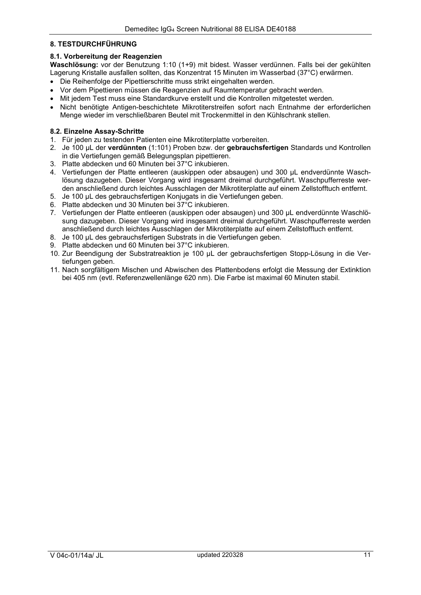#### 8. TESTDURCHFÜHRUNG

#### 8.1. Vorbereitung der Reagenzien

Waschlösung: vor der Benutzung 1:10 (1+9) mit bidest. Wasser verdünnen. Falls bei der gekühlten Lagerung Kristalle ausfallen sollten, das Konzentrat 15 Minuten im Wasserbad (37°C) erwärmen.

- Die Reihenfolge der Pipettierschritte muss strikt eingehalten werden.
- Vor dem Pipettieren müssen die Reagenzien auf Raumtemperatur gebracht werden.
- Mit jedem Test muss eine Standardkurve erstellt und die Kontrollen mitgetestet werden.
- Nicht benötigte Antigen-beschichtete Mikrotiterstreifen sofort nach Entnahme der erforderlichen Menge wieder im verschließbaren Beutel mit Trockenmittel in den Kühlschrank stellen.

#### 8.2. Einzelne Assay-Schritte

- 1. Für jeden zu testenden Patienten eine Mikrotiterplatte vorbereiten.
- 2. Je 100 µL der verdünnten (1:101) Proben bzw. der gebrauchsfertigen Standards und Kontrollen in die Vertiefungen gemäß Belegungsplan pipettieren.
- 3. Platte abdecken und 60 Minuten bei 37°C inkubieren.
- 4. Vertiefungen der Platte entleeren (auskippen oder absaugen) und 300 µL endverdünnte Waschlösung dazugeben. Dieser Vorgang wird insgesamt dreimal durchgeführt. Waschpufferreste werden anschließend durch leichtes Ausschlagen der Mikrotiterplatte auf einem Zellstofftuch entfernt.
- 5. Je 100 µL des gebrauchsfertigen Konjugats in die Vertiefungen geben.
- 6. Platte abdecken und 30 Minuten bei 37°C inkubieren.
- 7. Vertiefungen der Platte entleeren (auskippen oder absaugen) und 300 µL endverdünnte Waschlösung dazugeben. Dieser Vorgang wird insgesamt dreimal durchgeführt. Waschpufferreste werden anschließend durch leichtes Ausschlagen der Mikrotiterplatte auf einem Zellstofftuch entfernt.
- 8. Je 100 µL des gebrauchsfertigen Substrats in die Vertiefungen geben.
- 9. Platte abdecken und 60 Minuten bei 37°C inkubieren.
- 10. Zur Beendigung der Substratreaktion je 100 µL der gebrauchsfertigen Stopp-Lösung in die Vertiefungen geben.
- 11. Nach sorgfältigem Mischen und Abwischen des Plattenbodens erfolgt die Messung der Extinktion bei 405 nm (evtl. Referenzwellenlänge 620 nm). Die Farbe ist maximal 60 Minuten stabil.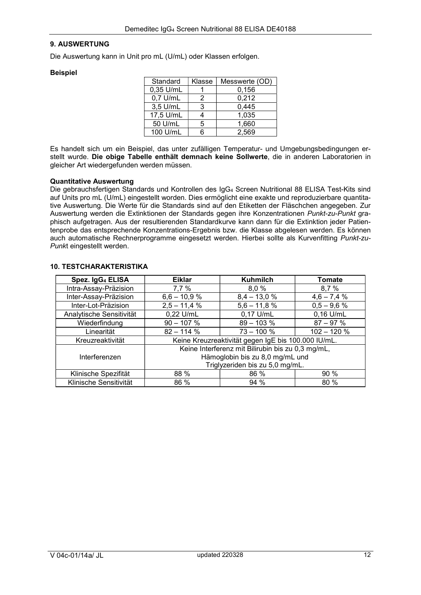#### 9. AUSWERTUNG

Die Auswertung kann in Unit pro mL (U/mL) oder Klassen erfolgen.

#### Beispiel

| Standard   | Messwerte (OD)<br>Klasse |       |
|------------|--------------------------|-------|
| 0,35 U/mL  |                          | 0,156 |
| $0.7$ U/mL | 2                        | 0,212 |
| 3,5 U/mL   | З                        | 0,445 |
| 17,5 U/mL  |                          | 1,035 |
| 50 U/mL    | 5                        | 1,660 |
| 100 U/mL   | ี่ค                      | 2.569 |

Es handelt sich um ein Beispiel, das unter zufälligen Temperatur- und Umgebungsbedingungen erstellt wurde. Die obige Tabelle enthält demnach keine Sollwerte, die in anderen Laboratorien in gleicher Art wiedergefunden werden müssen.

#### Quantitative Auswertung

Die gebrauchsfertigen Standards und Kontrollen des IgG4 Screen Nutritional 88 ELISA Test-Kits sind auf Units pro mL (U/mL) eingestellt worden. Dies ermöglicht eine exakte und reproduzierbare quantitative Auswertung. Die Werte für die Standards sind auf den Etiketten der Fläschchen angegeben. Zur Auswertung werden die Extinktionen der Standards gegen ihre Konzentrationen Punkt-zu-Punkt graphisch aufgetragen. Aus der resultierenden Standardkurve kann dann für die Extinktion jeder Patientenprobe das entsprechende Konzentrations-Ergebnis bzw. die Klasse abgelesen werden. Es können auch automatische Rechnerprogramme eingesetzt werden. Hierbei sollte als Kurvenfitting Punkt-zu-Punkt eingestellt werden.

| Spez. IgG <sub>4</sub> ELISA | <b>Eiklar</b>                                                                                                           | <b>Kuhmilch</b> | Tomate        |
|------------------------------|-------------------------------------------------------------------------------------------------------------------------|-----------------|---------------|
| Intra-Assay-Präzision        | 7,7 %                                                                                                                   | 8,0 %           | 8,7%          |
| Inter-Assay-Präzision        | $6,6 - 10,9 %$                                                                                                          | $8,4 - 13,0 %$  | $4,6 - 7,4%$  |
| Inter-Lot-Präzision          | $2,5 - 11,4%$                                                                                                           | $5,6 - 11,8%$   | $0,5 - 9,6 %$ |
| Analytische Sensitivität     | 0,22 U/mL                                                                                                               | $0,17$ U/mL     | $0,16$ U/mL   |
| Wiederfindung                | $90 - 107 %$                                                                                                            | $89 - 103 %$    | $87 - 97%$    |
| Linearität                   | $82 - 114 %$                                                                                                            | $73 - 100 %$    | $102 - 120%$  |
| Kreuzreaktivität             | Keine Kreuzreaktivität gegen IgE bis 100.000 IU/mL.                                                                     |                 |               |
| Interferenzen                | Keine Interferenz mit Bilirubin bis zu 0,3 mg/mL,<br>Hämoglobin bis zu 8,0 mg/mL und<br>Triglyzeriden bis zu 5,0 mg/mL. |                 |               |
| Klinische Spezifität         | 88 %                                                                                                                    | 86 %            | 90%           |
| Klinische Sensitivität       | 86 %                                                                                                                    | 94 %            | 80 %          |

#### 10. TESTCHARAKTERISTIKA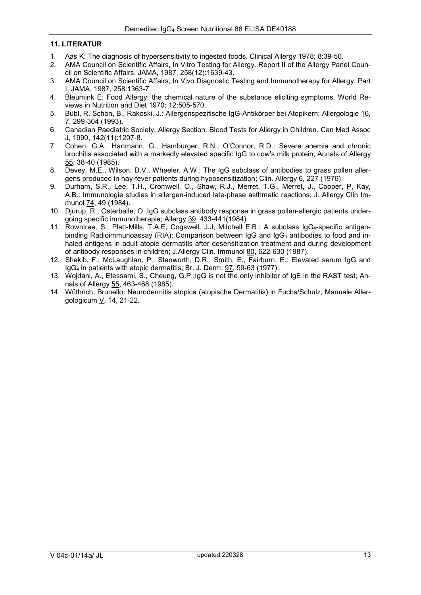# 11. LITERATUR

- 1. Aas K: The diagnosis of hypersensitivity to ingested foods. Clinical Allergy 1978; 8:39-50.
- 2. AMA Council on Scientific Affairs, In Vitro Testing for Allergy. Report II of the Allergy Panel Council on Scientific Affairs. JAMA, 1987, 258(12):1639-43.
- 3. AMA Council on Scientific Affairs, In Vivo Diagnostic Testing and Immunotherapy for Allergy. Part I, JAMA, 1987, 258:1363-7.
- 4. Bleumink E: Food Allergy; the chemical nature of the substance eliciting symptoms. World Reviews in Nutrition and Diet 1970; 12:505-570.
- 5. Bübl, R. Schön, B., Rakoski, J.: Allergenspezifische IgG-Antikörper bei Atopikern; Allergologie 16, 7, 299-304 (1993).
- 6. Canadian Paediatric Society, Allergy Section. Blood Tests for Allergy in Children. Can Med Assoc J, 1990, 142(11):1207-8.
- 7. Cohen, G.A., Hartmann, G., Hamburger, R.N., O'Connor, R.D.: Severe anemia and chronic brochitis associated with a markedly elevated specific IgG to cow's milk protein; Annals of Allergy 55, 38-40 (1985).
- 8. Devey, M.E., Wilson, D.V., Wheeler, A.W.: The IgG subclass of antibodies to grass pollen allergens produced in hay-fever patients during hyposensitization; Clin. Allergy 6, 227 (1976).
- 9. Durham, S.R., Lee, T.H., Cromwell, O., Shaw, R.J., Merret, T.G., Merret, J., Cooper, P, Kay, A.B.: Immunologie studies in allergen-induced late-phase asthmatic reactions; J. Allergy Clin Immunol 74, 49 (1984).
- 10. Djurup, R., Osterballe, O.:IgG subclass antibody response in grass pollen-allergic patients undergoing specific immunotherapie; Allergy 39, 433-441(1984).
- 11. Rowntree, S., Platt-Mills, T.A.E, Cogswell, J.J, Mitchell E.B.: A subclass IgG4-specific antigenbinding Radioimmunoassay (RIA): Comparison between IgG and IgG<sub>4</sub> antibodies to food and inhaled antigens in adult atopie dermatitis after desensitization treatment and during development of antibody responses in children; J.Allergy Clin. Immunol 80, 622-630 (1987).
- 12. Shakib, F., McLaughlan, P., Stanworth, D.R., Smith, E., Fairburn, E.: Elevated serum IgG and IgG4 in patients with atopic dermatitis; Br. J. Derm: 97, 59-63 (1977).
- 13. Wojdani, A., Etessami, S., Cheung, G.P.:IgG is not the only inhibitor of IgE in the RAST test; Annals of Allergy 55, 463-468 (1985).
- 14. Wüthrich, Brunello: Neurodermitis atopica (atopische Dermatitis) in Fuchs/Schulz, Manuale Allergologicum V, 14, 21-22.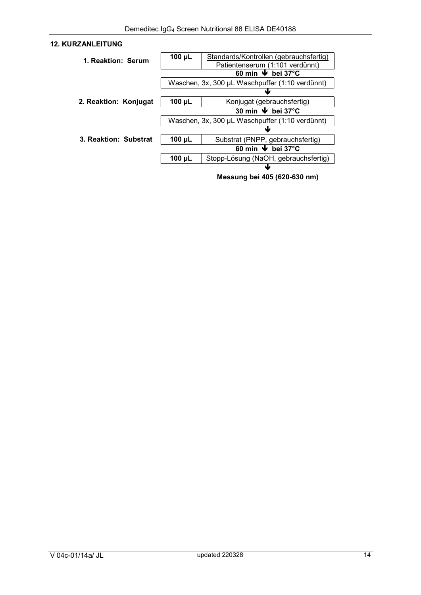# 12. KURZANLEITUNG

| 1. Reaktion: Serum    | $100 \mu L$                                     | Standards/Kontrollen (gebrauchsfertig)     |  |
|-----------------------|-------------------------------------------------|--------------------------------------------|--|
|                       |                                                 | Patientenserum (1:101 verdünnt)            |  |
|                       | 60 min $\blacktriangleright$ bei 37°C           |                                            |  |
|                       | Waschen, 3x, 300 µL Waschpuffer (1:10 verdünnt) |                                            |  |
|                       |                                                 |                                            |  |
| 2. Reaktion: Konjugat | $100 \mu L$                                     | Konjugat (gebrauchsfertig)                 |  |
|                       |                                                 | 30 min $\overline{\triangledown}$ bei 37°C |  |
|                       | Waschen, 3x, 300 µL Waschpuffer (1:10 verdünnt) |                                            |  |
|                       |                                                 |                                            |  |
| 3. Reaktion: Substrat | $100 \mu L$                                     | Substrat (PNPP, gebrauchsfertig)           |  |
|                       | 60 min $\blacktriangleright$ bei 37°C           |                                            |  |
|                       | 100 $\mu$ L                                     | Stopp-Lösung (NaOH, gebrauchsfertig)       |  |
|                       |                                                 |                                            |  |

Messung bei 405 (620-630 nm)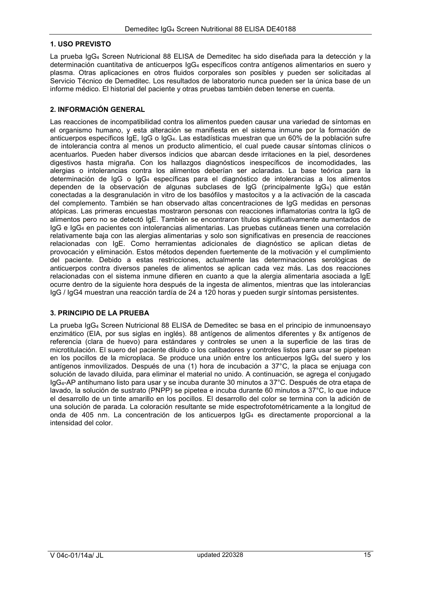#### 1. USO PREVISTO

La prueba IgG4 Screen Nutricional 88 ELISA de Demeditec ha sido diseñada para la detección y la determinación cuantitativa de anticuerpos IgG4 específicos contra antígenos alimentarios en suero y plasma. Otras aplicaciones en otros fluidos corporales son posibles y pueden ser solicitadas al Servicio Técnico de Demeditec. Los resultados de laboratorio nunca pueden ser la única base de un informe médico. El historial del paciente y otras pruebas también deben tenerse en cuenta.

#### 2. INFORMACIÓN GENERAL

Las reacciones de incompatibilidad contra los alimentos pueden causar una variedad de síntomas en el organismo humano, y esta alteración se manifiesta en el sistema inmune por la formación de anticuerpos específicos IgE, IgG o IgG4. Las estadísticas muestran que un 60% de la población sufre de intolerancia contra al menos un producto alimenticio, el cual puede causar síntomas clínicos o acentuarlos. Pueden haber diversos indicios que abarcan desde irritaciones en la piel, desordenes digestivos hasta migraña. Con los hallazgos diagnósticos inespecíficos de incomodidades, las alergias o intolerancias contra los alimentos deberían ser aclaradas. La base teórica para la determinación de IgG o IgG4 específicas para el diagnóstico de intolerancias a los alimentos dependen de la observación de algunas subclases de IgG (principalmente IgG4) que están conectadas a la desgranulación in vitro de los basófilos y mastocitos y a la activación de la cascada del complemento. También se han observado altas concentraciones de IgG medidas en personas atópicas. Las primeras encuestas mostraron personas con reacciones inflamatorias contra la IgG de alimentos pero no se detectó IgE. También se encontraron títulos significativamente aumentados de IgG e IgG4 en pacientes con intolerancias alimentarias. Las pruebas cutáneas tienen una correlación relativamente baja con las alergias alimentarias y solo son significativas en presencia de reacciones relacionadas con IgE. Como herramientas adicionales de diagnóstico se aplican dietas de provocación y eliminación. Estos métodos dependen fuertemente de la motivación y el cumplimiento del paciente. Debido a estas restricciones, actualmente las determinaciones serológicas de anticuerpos contra diversos paneles de alimentos se aplican cada vez más. Las dos reacciones relacionadas con el sistema inmune difieren en cuanto a que la alergia alimentaria asociada a IgE ocurre dentro de la siguiente hora después de la ingesta de alimentos, mientras que las intolerancias IgG / IgG4 muestran una reacción tardía de 24 a 120 horas y pueden surgir síntomas persistentes.

# 3. PRINCIPIO DE LA PRUEBA

La prueba IgG4 Screen Nutricional 88 ELISA de Demeditec se basa en el principio de inmunoensayo enzimático (EIA, por sus siglas en inglés). 88 antígenos de alimentos diferentes y 8x antígenos de referencia (clara de huevo) para estándares y controles se unen a la superficie de las tiras de microtitulación. El suero del paciente diluido o los calibadores y controles listos para usar se pipetean en los pocillos de la microplaca. Se produce una unión entre los anticuerpos IgG4 del suero y los antígenos inmovilizados. Después de una (1) hora de incubación a 37°C, la placa se enjuaga con solución de lavado diluida, para eliminar el material no unido. A continuación, se agrega el conjugado IgG4-AP antihumano listo para usar y se incuba durante 30 minutos a 37°C. Después de otra etapa de lavado, la solución de sustrato (PNPP) se pipetea e incuba durante 60 minutos a 37°C, lo que induce el desarrollo de un tinte amarillo en los pocillos. El desarrollo del color se termina con la adición de una solución de parada. La coloración resultante se mide espectrofotométricamente a la longitud de onda de 405 nm. La concentración de los anticuerpos IgG4 es directamente proporcional a la intensidad del color.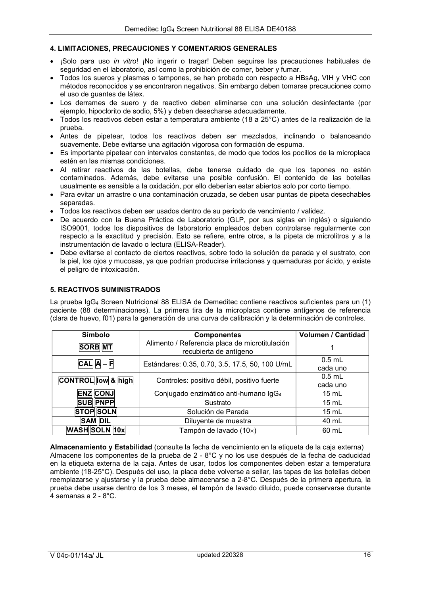# 4. LIMITACIONES, PRECAUCIONES Y COMENTARIOS GENERALES

- ¡Solo para uso *in vitro*! ¡No ingerir o tragar! Deben seguirse las precauciones habituales de seguridad en el laboratorio, así como la prohibición de comer, beber y fumar.
- Todos los sueros y plasmas o tampones, se han probado con respecto a HBsAg, VIH y VHC con métodos reconocidos y se encontraron negativos. Sin embargo deben tomarse precauciones como el uso de guantes de látex.
- Los derrames de suero y de reactivo deben eliminarse con una solución desinfectante (por ejemplo, hipoclorito de sodio, 5%) y deben desecharse adecuadamente.
- Todos los reactivos deben estar a temperatura ambiente (18 a 25°C) antes de la realización de la prueba.
- Antes de pipetear, todos los reactivos deben ser mezclados, inclinando o balanceando suavemente. Debe evitarse una agitación vigorosa con formación de espuma.
- Es importante pipetear con intervalos constantes, de modo que todos los pocillos de la microplaca estén en las mismas condiciones.
- Al retirar reactivos de las botellas, debe tenerse cuidado de que los tapones no estén contaminados. Además, debe evitarse una posible confusión. El contenido de las botellas usualmente es sensible a la oxidación, por ello deberían estar abiertos solo por corto tiempo.
- Para evitar un arrastre o una contaminación cruzada, se deben usar puntas de pipeta desechables separadas.
- Todos los reactivos deben ser usados dentro de su periodo de vencimiento / validez.
- De acuerdo con la Buena Práctica de Laboratorio (GLP, por sus siglas en inglés) o siguiendo ISO9001, todos los dispositivos de laboratorio empleados deben controlarse regularmente con respecto a la exactitud y precisión. Esto se refiere, entre otros, a la pipeta de microlitros y a la instrumentación de lavado o lectura (ELISA-Reader).
- Debe evitarse el contacto de ciertos reactivos, sobre todo la solución de parada y el sustrato, con la piel, los ojos y mucosas, ya que podrían producirse irritaciones y quemaduras por ácido, y existe el peligro de intoxicación.

#### 5. REACTIVOS SUMINISTRADOS

La prueba IgG4 Screen Nutricional 88 ELISA de Demeditec contiene reactivos suficientes para un (1) paciente (88 determinaciones). La primera tira de la microplaca contiene antígenos de referencia (clara de huevo, f01) para la generación de una curva de calibración y la determinación de controles.

| Símbolo                                                                                    | <b>Componentes</b>                              | Volumen / Cantidad   |
|--------------------------------------------------------------------------------------------|-------------------------------------------------|----------------------|
| Alimento / Referencia placa de microtitulación<br><b>SORB</b> MT<br>recubierta de antígeno |                                                 |                      |
| $CAL A - F$                                                                                | Estándares: 0.35, 0.70, 3.5, 17.5, 50, 100 U/mL | $0.5$ mL<br>cada uno |
| <b>CONTROL</b> low & high                                                                  | Controles: positivo débil, positivo fuerte      | $0.5$ mL<br>cada uno |
| <b>ENZ CONJ</b>                                                                            | Conjugado enzimático anti-humano IgG4           | $15 \text{ mL}$      |
| <b>SUB PNPP</b>                                                                            | Sustrato                                        | 15 mL                |
| <b>STOP SOLN</b>                                                                           | Solución de Parada                              | $15 \text{ mL}$      |
| <b>SAM DIL</b>                                                                             | Diluyente de muestra                            | 40 mL                |
| <b>WASH SOLN 10x</b>                                                                       | Tampón de lavado (10 $\times$ )                 | 60 mL                |

Almacenamiento y Estabilidad (consulte la fecha de vencimiento en la etiqueta de la caja externa) Almacene los componentes de la prueba de 2 - 8°C y no los use después de la fecha de caducidad en la etiqueta externa de la caja. Antes de usar, todos los componentes deben estar a temperatura ambiente (18-25°C). Después del uso, la placa debe volverse a sellar, las tapas de las botellas deben reemplazarse y ajustarse y la prueba debe almacenarse a 2-8°C. Después de la primera apertura, la prueba debe usarse dentro de los 3 meses, el tampón de lavado diluido, puede conservarse durante 4 semanas a 2 - 8°C.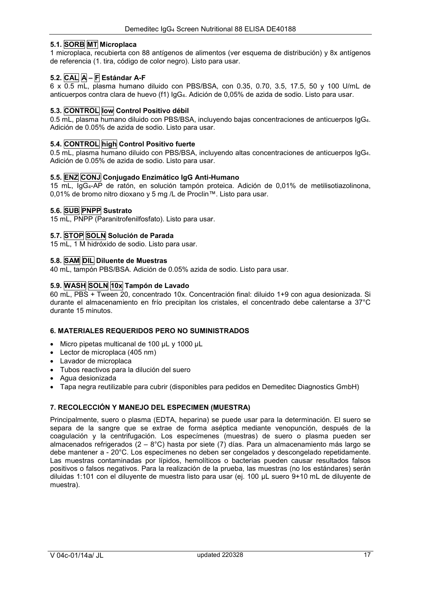# 5.1. SORB MT Microplaca

1 microplaca, recubierta con 88 antígenos de alimentos (ver esquema de distribución) y 8x antígenos de referencia (1. tira, código de color negro). Listo para usar.

# 5.2. CAL A – F Estándar A-F

6 x 0.5 mL, plasma humano diluido con PBS/BSA, con 0.35, 0.70, 3.5, 17.5, 50 y 100 U/mL de anticuerpos contra clara de huevo (f1) IgG4. Adición de 0,05% de azida de sodio. Listo para usar.

#### 5.3. CONTROL low Control Positivo débil

0.5 mL, plasma humano diluido con PBS/BSA, incluyendo bajas concentraciones de anticuerpos IgG4. Adición de 0.05% de azida de sodio. Listo para usar.

### 5.4. CONTROL high Control Positivo fuerte

0.5 mL, plasma humano diluido con PBS/BSA, incluyendo altas concentraciones de anticuerpos IgG4. Adición de 0.05% de azida de sodio. Listo para usar.

#### 5.5. ENZ CONJ Conjugado Enzimático IgG Anti-Humano

15 mL, IgG4-AP de ratón, en solución tampón proteica. Adición de 0,01% de metilisotiazolinona, 0,01% de bromo nitro dioxano y 5 mg /L de Proclin™. Listo para usar.

# 5.6. SUB PNPP Sustrato

15 mL, PNPP (Paranitrofenilfosfato). Listo para usar.

#### 5.7. STOP SOLN Solución de Parada

15 mL, 1 M hidróxido de sodio. Listo para usar.

#### 5.8. SAM DIL Diluente de Muestras

40 mL, tampón PBS/BSA. Adición de 0.05% azida de sodio. Listo para usar.

### 5.9. WASH SOLN 10x Tampón de Lavado

60 mL, PBS + Tween 20, concentrado 10x. Concentración final: diluido 1+9 con agua desionizada. Si durante el almacenamiento en frío precipitan los cristales, el concentrado debe calentarse a 37°C durante 15 minutos.

#### 6. MATERIALES REQUERIDOS PERO NO SUMINISTRADOS

- Micro pipetas multicanal de 100 µL y 1000 µL
- Lector de microplaca (405 nm)
- Lavador de microplaca
- Tubos reactivos para la dilución del suero
- Agua desionizada
- Tapa negra reutilizable para cubrir (disponibles para pedidos en Demeditec Diagnostics GmbH)

#### 7. RECOLECCIÓN Y MANEJO DEL ESPECIMEN (MUESTRA)

Principalmente, suero o plasma (EDTA, heparina) se puede usar para la determinación. El suero se separa de la sangre que se extrae de forma aséptica mediante venopunción, después de la coagulación y la centrifugación. Los especímenes (muestras) de suero o plasma pueden ser almacenados refrigerados (2 – 8°C) hasta por siete (7) días. Para un almacenamiento más largo se debe mantener a - 20°C. Los especímenes no deben ser congelados y descongelado repetidamente. Las muestras contaminadas por lípidos, hemolíticos o bacterias pueden causar resultados falsos positivos o falsos negativos. Para la realización de la prueba, las muestras (no los estándares) serán diluidas 1:101 con el diluyente de muestra listo para usar (ej. 100 µL suero 9+10 mL de diluyente de muestra).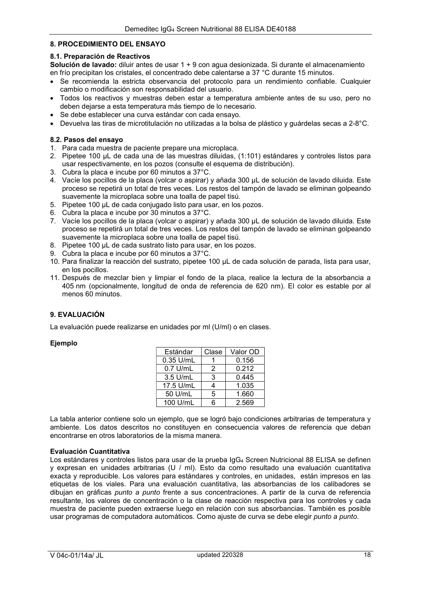#### 8. PROCEDIMIENTO DEL ENSAYO

#### 8.1. Preparación de Reactivos

Solución de lavado: diluir antes de usar 1 + 9 con agua desionizada. Si durante el almacenamiento en frío precipitan los cristales, el concentrado debe calentarse a 37 °C durante 15 minutos.

- Se recomienda la estricta observancia del protocolo para un rendimiento confiable. Cualquier cambio o modificación son responsabilidad del usuario.
- Todos los reactivos y muestras deben estar a temperatura ambiente antes de su uso, pero no deben dejarse a esta temperatura más tiempo de lo necesario.
- Se debe establecer una curva estándar con cada ensayo.
- Devuelva las tiras de microtitulación no utilizadas a la bolsa de plástico y guárdelas secas a 2-8°C.

#### 8.2. Pasos del ensayo

- 1. Para cada muestra de paciente prepare una microplaca.
- 2. Pipetee 100 μL de cada una de las muestras diluidas, (1:101) estándares y controles listos para usar respectivamente, en los pozos (consulte el esquema de distribución).
- 3. Cubra la placa e incube por 60 minutos a 37°C.
- 4. Vacíe los pocillos de la placa (volcar o aspirar) y añada 300 μL de solución de lavado diluida. Este proceso se repetirá un total de tres veces. Los restos del tampón de lavado se eliminan golpeando suavemente la microplaca sobre una toalla de papel tisú.
- 5. Pipetee 100 μL de cada conjugado listo para usar, en los pozos.
- 6. Cubra la placa e incube por 30 minutos a 37°C.
- 7. Vacíe los pocillos de la placa (volcar o aspirar) y añada 300 μL de solución de lavado diluida. Este proceso se repetirá un total de tres veces. Los restos del tampón de lavado se eliminan golpeando suavemente la microplaca sobre una toalla de papel tisú.
- 8. Pipetee 100 μL de cada sustrato listo para usar, en los pozos.
- 9. Cubra la placa e incube por 60 minutos a 37°C.
- 10. Para finalizar la reacción del sustrato, pipetee 100 μL de cada solución de parada, lista para usar, en los pocillos.
- 11. Después de mezclar bien y limpiar el fondo de la placa, realice la lectura de la absorbancia a 405 nm (opcionalmente, longitud de onda de referencia de 620 nm). El color es estable por al menos 60 minutos.

#### 9. EVALUACIÓN

La evaluación puede realizarse en unidades por ml (U/ml) o en clases.

#### **Ejemplo**

| Estándar  | Clase | Valor OD |
|-----------|-------|----------|
| 0.35 U/mL |       | 0.156    |
| 0.7 U/mL  | 2     | 0.212    |
| 3.5 U/mL  | 3     | 0.445    |
| 17.5 U/mL | 4     | 1.035    |
| 50 U/mL   | 5     | 1.660    |
| 100 U/mL  | ี     | 2.569    |

La tabla anterior contiene solo un ejemplo, que se logró bajo condiciones arbitrarias de temperatura y ambiente. Los datos descritos no constituyen en consecuencia valores de referencia que deban encontrarse en otros laboratorios de la misma manera.

## Evaluación Cuantitativa

Los estándares y controles listos para usar de la prueba IgG<sub>4</sub> Screen Nutricional 88 ELISA se definen y expresan en unidades arbitrarias (U / ml). Esto da como resultado una evaluación cuantitativa exacta y reproducible. Los valores para estándares y controles, en unidades, están impresos en las etiquetas de los viales. Para una evaluación cuantitativa, las absorbancias de los calibadores se dibujan en gráficas punto a punto frente a sus concentraciones. A partir de la curva de referencia resultante, los valores de concentración o la clase de reacción respectiva para los controles y cada muestra de paciente pueden extraerse luego en relación con sus absorbancias. También es posible usar programas de computadora automáticos. Como ajuste de curva se debe elegir punto a punto.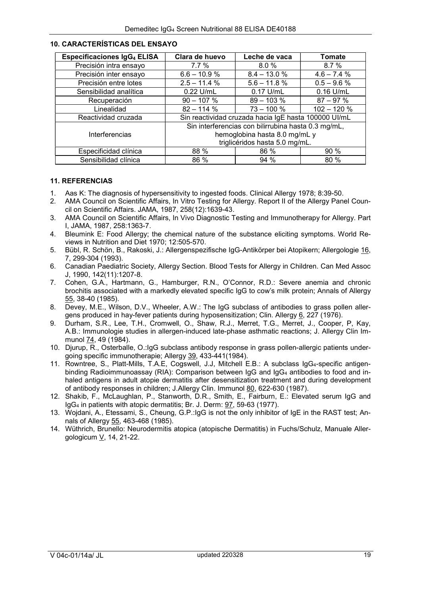| <b>Especificaciones IgG4 ELISA</b> | Clara de huevo                                       | Leche de vaca  | Tomate        |
|------------------------------------|------------------------------------------------------|----------------|---------------|
| Precisión intra ensayo             | $7.7\%$                                              | 8.0%           | 8.7%          |
| Precisión inter ensayo             | $6.6 - 10.9 %$                                       | $8.4 - 13.0 %$ | $4.6 - 7.4%$  |
| Precisión entre lotes              | $2.5 - 11.4 %$                                       | $5.6 - 11.8 %$ | $0.5 - 9.6 %$ |
| Sensibilidad analítica             | $0.22$ U/mL                                          | $0.17$ U/mL    | $0.16$ U/mL   |
| Recuperación                       | $90 - 107 %$                                         | $89 - 103 %$   | $87 - 97%$    |
| Linealidad                         | $82 - 114%$                                          | $73 - 100 %$   | $102 - 120%$  |
| Reactividad cruzada                | Sin reactividad cruzada hacia IgE hasta 100000 UI/mL |                |               |
|                                    | Sin interferencias con bilirrubina hasta 0.3 mg/mL,  |                |               |
| Interferencias                     | hemoglobina hasta 8.0 mg/mL y                        |                |               |
|                                    | triglicéridos hasta 5.0 mg/mL.                       |                |               |
| Especificidad clínica              | 88 %                                                 | 86 %           | 90 %          |
| Sensibilidad clínica               | 86 %                                                 | 94%            | 80 %          |

#### 10. CARACTERÍSTICAS DEL ENSAYO

#### 11. REFERENCIAS

- 1. Aas K: The diagnosis of hypersensitivity to ingested foods. Clinical Allergy 1978; 8:39-50.
- 2. AMA Council on Scientific Affairs, In Vitro Testing for Allergy. Report II of the Allergy Panel Council on Scientific Affairs. JAMA, 1987, 258(12):1639-43.
- 3. AMA Council on Scientific Affairs, In Vivo Diagnostic Testing and Immunotherapy for Allergy. Part I, JAMA, 1987, 258:1363-7.
- 4. Bleumink E: Food Allergy; the chemical nature of the substance eliciting symptoms. World Reviews in Nutrition and Diet 1970; 12:505-570.
- 5. Bübl, R. Schön, B., Rakoski, J.: Allergenspezifische IgG-Antikörper bei Atopikern; Allergologie 16, 7, 299-304 (1993).
- 6. Canadian Paediatric Society, Allergy Section. Blood Tests for Allergy in Children. Can Med Assoc J, 1990, 142(11):1207-8.
- 7. Cohen, G.A., Hartmann, G., Hamburger, R.N., O'Connor, R.D.: Severe anemia and chronic brochitis associated with a markedly elevated specific IgG to cow's milk protein; Annals of Allergy 55, 38-40 (1985).
- 8. Devey, M.E., Wilson, D.V., Wheeler, A.W.: The IgG subclass of antibodies to grass pollen allergens produced in hay-fever patients during hyposensitization; Clin. Allergy 6, 227 (1976).
- 9. Durham, S.R., Lee, T.H., Cromwell, O., Shaw, R.J., Merret, T.G., Merret, J., Cooper, P, Kay, A.B.: Immunologie studies in allergen-induced late-phase asthmatic reactions; J. Allergy Clin Immunol 74, 49 (1984).
- 10. Djurup, R., Osterballe, O.:IgG subclass antibody response in grass pollen-allergic patients undergoing specific immunotherapie; Allergy 39, 433-441(1984).
- 11. Rowntree, S., Platt-Mills, T.A.E, Cogswell, J.J, Mitchell E.B.: A subclass IgG4-specific antigenbinding Radioimmunoassay (RIA): Comparison between IgG and IgG<sub>4</sub> antibodies to food and inhaled antigens in adult atopie dermatitis after desensitization treatment and during development of antibody responses in children; J.Allergy Clin. Immunol 80, 622-630 (1987).
- 12. Shakib, F., McLaughlan, P., Stanworth, D.R., Smith, E., Fairburn, E.: Elevated serum IgG and IgG4 in patients with atopic dermatitis; Br. J. Derm: 97, 59-63 (1977).
- 13. Wojdani, A., Etessami, S., Cheung, G.P.:IgG is not the only inhibitor of IgE in the RAST test; Annals of Allergy 55, 463-468 (1985).
- 14. Wüthrich, Brunello: Neurodermitis atopica (atopische Dermatitis) in Fuchs/Schulz, Manuale Allergologicum V, 14, 21-22.